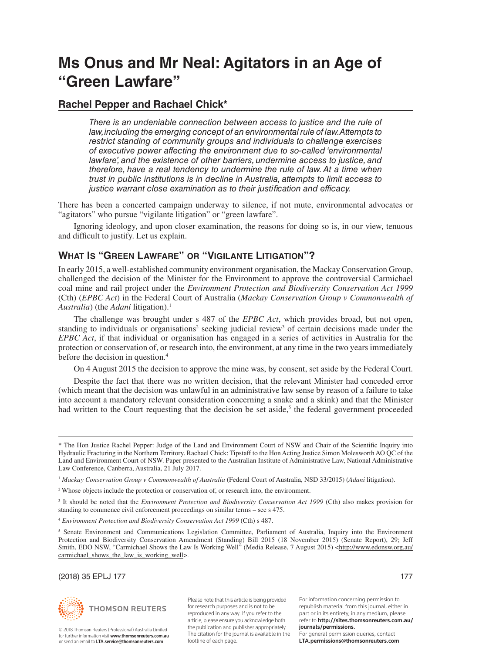# **Ms Onus and Mr Neal: Agitators in an Age of "Green Lawfare"**

# **Rachel Pepper and Rachael Chick\***

*There is an undeniable connection between access to justice and the rule of law, including the emerging concept of an environmental rule of law. Attempts to restrict standing of community groups and individuals to challenge exercises of executive power affecting the environment due to so-called 'environmental*  lawfare', and the existence of other barriers, undermine access to justice, and *therefore, have a real tendency to undermine the rule of law. At a time when trust in public institutions is in decline in Australia, attempts to limit access to justice warrant close examination as to their justification and efficacy.*

There has been a concerted campaign underway to silence, if not mute, environmental advocates or "agitators" who pursue "vigilante litigation" or "green lawfare".

Ignoring ideology, and upon closer examination, the reasons for doing so is, in our view, tenuous and difficult to justify. Let us explain.

# **WHAT IS "GREEN LAWFARE" OR "VIGILANTE LITIGATION"?**

In early 2015, a well-established community environment organisation, the Mackay Conservation Group, challenged the decision of the Minister for the Environment to approve the controversial Carmichael coal mine and rail project under the *Environment Protection and Biodiversity Conservation Act 1999* (Cth) (*EPBC Act*) in the Federal Court of Australia (*Mackay Conservation Group v Commonwealth of Australia*) (the *Adani* litigation).<sup>1</sup>

The challenge was brought under s 487 of the *EPBC Act*, which provides broad, but not open, standing to individuals or organisations<sup>2</sup> seeking judicial review<sup>3</sup> of certain decisions made under the *EPBC Act*, if that individual or organisation has engaged in a series of activities in Australia for the protection or conservation of, or research into, the environment, at any time in the two years immediately before the decision in question.4

On 4 August 2015 the decision to approve the mine was, by consent, set aside by the Federal Court.

Despite the fact that there was no written decision, that the relevant Minister had conceded error (which meant that the decision was unlawful in an administrative law sense by reason of a failure to take into account a mandatory relevant consideration concerning a snake and a skink) and that the Minister had written to the Court requesting that the decision be set aside,<sup>5</sup> the federal government proceeded

#### (2018) 35 EPLJ 177 177



© 2018 Thomson Reuters (Professional) Australia Limited for further information visit www.thomsonreuters.com.au. or send an email to LTA.service@thomsonreuters.com

Please note that this article is being provided for research purposes and is not to be reproduced in any way. If you refer to the article, please ensure you acknowledge both the publication and publisher appropriately. The citation for the journal is available in the footline of each page.

For information concerning permission to republish material from this journal, either in part or in its entirety, in any medium, please refer to http://sites.thomsonreuters.com.au/ journals/permissions. For general permission queries, contact LTA.permissions@thomsonreuters.com

<sup>\*</sup> The Hon Justice Rachel Pepper: Judge of the Land and Environment Court of NSW and Chair of the Scientific Inquiry into Hydraulic Fracturing in the Northern Territory. Rachael Chick: Tipstaff to the Hon Acting Justice Simon Molesworth AO QC of the Land and Environment Court of NSW. Paper presented to the Australian Institute of Administrative Law, National Administrative Law Conference, Canberra, Australia, 21 July 2017.

<sup>1</sup> *Mackay Conservation Group v Commonwealth of Australia* (Federal Court of Australia, NSD 33/2015) (*Adani* litigation).

<sup>&</sup>lt;sup>2</sup> Whose objects include the protection or conservation of, or research into, the environment.

<sup>&</sup>lt;sup>3</sup> It should be noted that the *Environment Protection and Biodiversity Conservation Act 1999* (Cth) also makes provision for standing to commence civil enforcement proceedings on similar terms – see s 475.

<sup>4</sup> *Environment Protection and Biodiversity Conservation Act 1999* (Cth) s 487.

<sup>&</sup>lt;sup>5</sup> Senate Environment and Communications Legislation Committee, Parliament of Australia, Inquiry into the Environment Protection and Biodiversity Conservation Amendment (Standing) Bill 2015 (18 November 2015) (Senate Report), 29; Jeff Smith, EDO NSW, "Carmichael Shows the Law Is Working Well" (Media Release, 7 August 2015) [<http://www.edonsw.org.au/](http://www.edonsw.org.au/carmichael_shows_the_law_is_working_well) [carmichael\\_shows\\_the\\_law\\_is\\_working\\_well>](http://www.edonsw.org.au/carmichael_shows_the_law_is_working_well).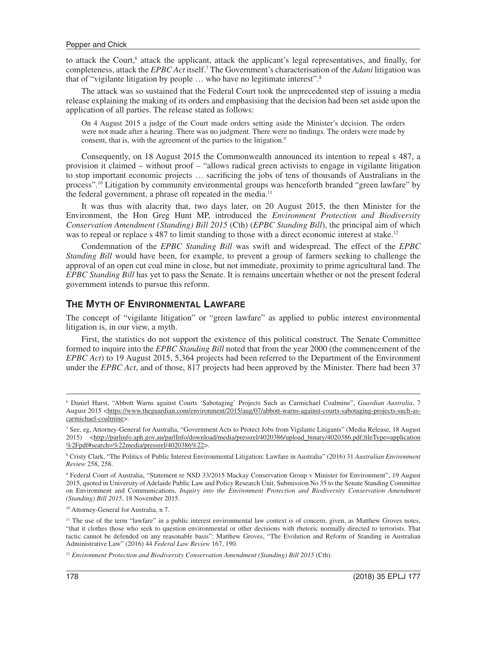to attack the Court,<sup>6</sup> attack the applicant, attack the applicant's legal representatives, and finally, for completeness, attack the *EPBC Act* itself.7 The Government's characterisation of the *Adani* litigation was that of "vigilante litigation by people … who have no legitimate interest".8

The attack was so sustained that the Federal Court took the unprecedented step of issuing a media release explaining the making of its orders and emphasising that the decision had been set aside upon the application of all parties. The release stated as follows:

On 4 August 2015 a judge of the Court made orders setting aside the Minister's decision. The orders were not made after a hearing. There was no judgment. There were no findings. The orders were made by consent, that is, with the agreement of the parties to the litigation.<sup>9</sup>

Consequently, on 18 August 2015 the Commonwealth announced its intention to repeal s 487, a provision it claimed – without proof – "allows radical green activists to engage in vigilante litigation to stop important economic projects … sacrificing the jobs of tens of thousands of Australians in the process".10 Litigation by community environmental groups was henceforth branded "green lawfare" by the federal government, a phrase oft repeated in the media.<sup>11</sup>

It was thus with alacrity that, two days later, on 20 August 2015, the then Minister for the Environment, the Hon Greg Hunt MP, introduced the *Environment Protection and Biodiversity Conservation Amendment (Standing) Bill 2015* (Cth) (*EPBC Standing Bill*), the principal aim of which was to repeal or replace s 487 to limit standing to those with a direct economic interest at stake.<sup>12</sup>

Condemnation of the *EPBC Standing Bill* was swift and widespread. The effect of the *EPBC Standing Bill* would have been, for example, to prevent a group of farmers seeking to challenge the approval of an open cut coal mine in close, but not immediate, proximity to prime agricultural land. The *EPBC Standing Bill* has yet to pass the Senate. It is remains uncertain whether or not the present federal government intends to pursue this reform.

## **THE MYTH OF ENVIRONMENTAL LAWFARE**

The concept of "vigilante litigation" or "green lawfare" as applied to public interest environmental litigation is, in our view, a myth.

First, the statistics do not support the existence of this political construct. The Senate Committee formed to inquire into the *EPBC Standing Bill* noted that from the year 2000 (the commencement of the *EPBC Act*) to 19 August 2015, 5,364 projects had been referred to the Department of the Environment under the *EPBC Act*, and of those, 817 projects had been approved by the Minister. There had been 37

<sup>6</sup> Daniel Hurst, "Abbott Warns against Courts 'Sabotaging' Projects Such as Carmichael Coalmine", *Guardian Australia*, 7 August 2015 [<https://www.theguardian.com/environment/2015/aug/07/abbott-warns-against-courts-sabotaging-projects-such-as](https://www.theguardian.com/environment/2015/aug/07/abbott-warns-against-courts-sabotaging-projects-such-as-carmichael-coalmine)[carmichael-coalmine](https://www.theguardian.com/environment/2015/aug/07/abbott-warns-against-courts-sabotaging-projects-such-as-carmichael-coalmine)>.

<sup>7</sup> See, eg, Attorney-General for Australia, "Government Acts to Protect Jobs from Vigilante Litigants" (Media Release, 18 August 2015) [<http://parlinfo.aph.gov.au/parlInfo/download/media/pressrel/4020386/upload\\_binary/4020386.pdf;fileType=application](http://parlinfo.aph.gov.au/parlInfo/download/media/pressrel/4020386/upload_binary/4020386.pdf;fileType=application%2Fpdf#search=%22media/pressrel/4020386%22) [%2Fpdf#search=%22media/pressrel/4020386%22>](http://parlinfo.aph.gov.au/parlInfo/download/media/pressrel/4020386/upload_binary/4020386.pdf;fileType=application%2Fpdf#search=%22media/pressrel/4020386%22).

<sup>8</sup> Cristy Clark, "The Politics of Public Interest Environmental Litigation: Lawfare in Australia" (2016) 31 *Australian Environment Review* 258, 258.

<sup>9</sup> Federal Court of Australia, "Statement re NSD 33/2015 Mackay Conservation Group v Minister for Environment", 19 August 2015, quoted in University of Adelaide Public Law and Policy Research Unit, Submission No 35 to the Senate Standing Committee on Environment and Communications, *Inquiry into the Environment Protection and Biodiversity Conservation Amendment (Standing) Bill 2015*, 18 November 2015.

<sup>&</sup>lt;sup>10</sup> Attorney-General for Australia, n 7.

<sup>&</sup>lt;sup>11</sup> The use of the term "lawfare" in a public interest environmental law context is of concern, given, as Matthew Groves notes, "that it clothes those who seek to question environmental or other decisions with rhetoric normally directed to terrorists. That tactic cannot be defended on any reasonable basis": Matthew Groves, "The Evolution and Reform of Standing in Australian Administrative Law" (2016) 44 *Federal Law Review* 167, 190.

<sup>&</sup>lt;sup>12</sup> *Environment Protection and Biodiversity Conservation Amendment (Standing) Bill 2015* (Cth).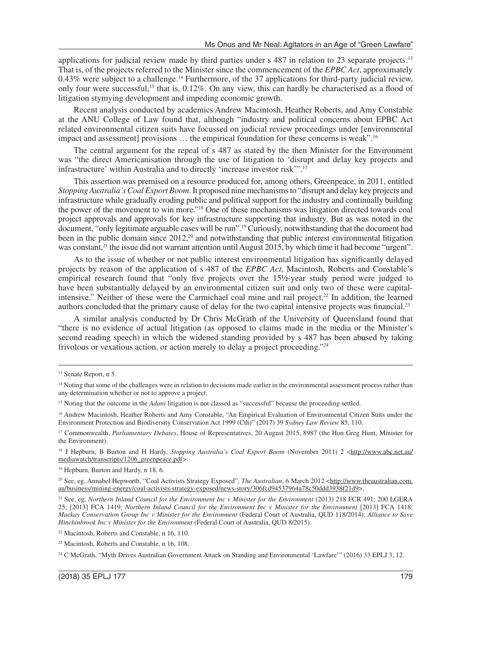applications for judicial review made by third parties under s 487 in relation to 23 separate projects.<sup>13</sup> That is, of the projects referred to the Minister since the commencement of the *EPBC Act*, approximately 0.43% were subject to a challenge.14 Furthermore, of the 37 applications for third-party judicial review, only four were successful,15 that is, 0.12%. On any view, this can hardly be characterised as a flood of litigation stymying development and impeding economic growth.

Recent analysis conducted by academics Andrew Macintosh, Heather Roberts, and Amy Constable at the ANU College of Law found that, although "industry and political concerns about EPBC Act related environmental citizen suits have focussed on judicial review proceedings under [environmental impact and assessment] provisions … the empirical foundation for these concerns is weak".16

The central argument for the repeal of s 487 as stated by the then Minister for the Environment was "the direct Americanisation through the use of litigation to 'disrupt and delay key projects and infrastructure' within Australia and to directly 'increase investor risk'".17

This assertion was premised on a resource produced for, among others, Greenpeace, in 2011, entitled *Stopping Australia's Coal Export Boom*. It proposed nine mechanisms to "disrupt and delay key projects and infrastructure while gradually eroding public and political support for the industry and continually building the power of the movement to win more."18 One of these mechanisms was litigation directed towards coal project approvals and approvals for key infrastructure supporting that industry. But as was noted in the document, "only legitimate arguable cases will be run".19 Curiously, notwithstanding that the document had been in the public domain since  $2012<sup>20</sup>$  and notwithstanding that public interest environmental litigation was constant,<sup>21</sup> the issue did not warrant attention until August 2015, by which time it had become "urgent".

As to the issue of whether or not public interest environmental litigation has significantly delayed projects by reason of the application of s 487 of the *EPBC Act*, Macintosh, Roberts and Constable's empirical research found that "only five projects over the 15½-year study period were judged to have been substantially delayed by an environmental citizen suit and only two of these were capitalintensive." Neither of these were the Carmichael coal mine and rail project.<sup>22</sup> In addition, the learned authors concluded that the primary cause of delay for the two capital intensive projects was financial.<sup>23</sup>

A similar analysis conducted by Dr Chris McGrath of the University of Queensland found that "there is no evidence of actual litigation (as opposed to claims made in the media or the Minister's second reading speech) in which the widened standing provided by s 487 has been abused by taking frivolous or vexatious action, or action merely to delay a project proceeding."24

<sup>19</sup> Hepburn, Burton and Hardy, n 18, 6.

<sup>13</sup> Senate Report, n 5.

<sup>&</sup>lt;sup>14</sup> Noting that some of the challenges were in relation to decisions made earlier in the environmental assessment process rather than any determination whether or not to approve a project.

<sup>&</sup>lt;sup>15</sup> Noting that the outcome in the *Adani* litigation is not classed as "successful" because the proceeding settled.

<sup>&</sup>lt;sup>16</sup> Andrew Macintosh, Heather Roberts and Amy Constable, "An Empirical Evaluation of Environmental Citizen Suits under the Environment Protection and Biodiversity Conservation Act 1999 (Cth)" (2017) 39 *Sydney Law Review* 85, 110.

<sup>&</sup>lt;sup>17</sup> Commonwealth, *Parliamentary Debates*, House of Representatives, 20 August 2015, 8987 (the Hon Greg Hunt, Minister for the Environment).

<sup>&</sup>lt;sup>18</sup> J Hepburn, B Burton and H Hardy, *Stopping Australia's Coal Export Boom* (November 2011) 2 <[http://www.abc.net.au/](http://www.abc.net.au/mediawatch/transcripts/1206_greenpeace.pdf) [mediawatch/transcripts/1206\\_greenpeace.pdf>](http://www.abc.net.au/mediawatch/transcripts/1206_greenpeace.pdf).

<sup>&</sup>lt;sup>20</sup> See, eg, Annabel Hepworth, "Coal Activists Strategy Exposed", *The Australian*, 6 March 2012 <[http://www.theaustralian.com.](http://www.theaustralian.com.au/business/mining-energy/coal-activists-strategy-exposed/news-story/306fcd94537964a78c50ddd3938f21d9) [au/business/mining-energy/coal-activists-strategy-exposed/news-story/306fcd94537964a78c50ddd3938f21d9](http://www.theaustralian.com.au/business/mining-energy/coal-activists-strategy-exposed/news-story/306fcd94537964a78c50ddd3938f21d9)>.

<sup>&</sup>lt;sup>21</sup> See, eg, *Northern Inland Council for the Environment Inc v Minister for the Environment* (2013) 218 FCR 491; 200 LGERA 25; [2013] FCA 1419; *Northern Inland Council for the Environment Inc v Minister for the Environment* [2013] FCA 1418; *Mackay Conservation Group Inc v Minister for the Environment* (Federal Court of Australia, QUD 118/2014); *Alliance to Save Hinchinbrook Inc v Minister for the Environment* (Federal Court of Australia, QUD 8/2015).

<sup>22</sup> Macintosh, Roberts and Constable, n 16, 110.

<sup>23</sup> Macintosh, Roberts and Constable, n 16, 108.

<sup>&</sup>lt;sup>24</sup> C McGrath, "Myth Drives Australian Government Attack on Standing and Environmental 'Lawfare'" (2016) 33 EPLJ 3, 12.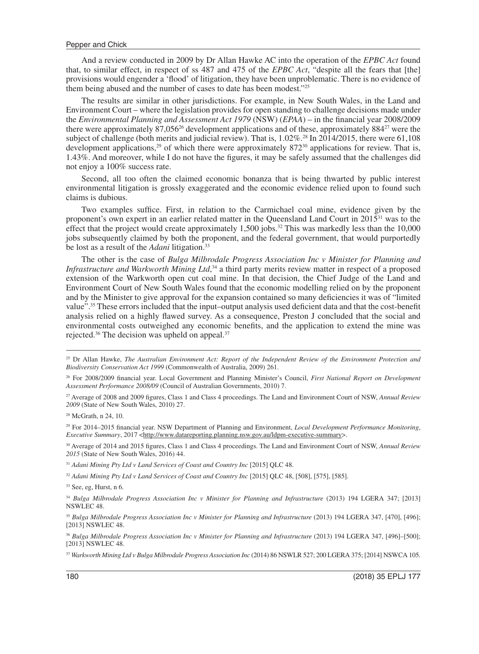And a review conducted in 2009 by Dr Allan Hawke AC into the operation of the *EPBC Act* found that, to similar effect, in respect of ss 487 and 475 of the *EPBC Act*, "despite all the fears that [the] provisions would engender a 'flood' of litigation, they have been unproblematic. There is no evidence of them being abused and the number of cases to date has been modest."25

The results are similar in other jurisdictions. For example, in New South Wales, in the Land and Environment Court – where the legislation provides for open standing to challenge decisions made under the *Environmental Planning and Assessment Act 1979* (NSW) (*EPAA*) – in the financial year 2008/2009 there were approximately  $87,056^{26}$  development applications and of these, approximately  $884^{27}$  were the subject of challenge (both merits and judicial review). That is,  $1.02\%$ <sup>28</sup> In 2014/2015, there were 61,108 development applications,<sup>29</sup> of which there were approximately 872<sup>30</sup> applications for review. That is, 1.43%. And moreover, while I do not have the figures, it may be safely assumed that the challenges did not enjoy a 100% success rate.

Second, all too often the claimed economic bonanza that is being thwarted by public interest environmental litigation is grossly exaggerated and the economic evidence relied upon to found such claims is dubious.

Two examples suffice. First, in relation to the Carmichael coal mine, evidence given by the proponent's own expert in an earlier related matter in the Queensland Land Court in 201531 was to the effect that the project would create approximately 1,500 jobs.<sup>32</sup> This was markedly less than the 10,000 jobs subsequently claimed by both the proponent, and the federal government, that would purportedly be lost as a result of the *Adani* litigation.33

The other is the case of *Bulga Milbrodale Progress Association Inc v Minister for Planning and Infrastructure and Warkworth Mining Ltd*, 34 a third party merits review matter in respect of a proposed extension of the Warkworth open cut coal mine. In that decision, the Chief Judge of the Land and Environment Court of New South Wales found that the economic modelling relied on by the proponent and by the Minister to give approval for the expansion contained so many deficiencies it was of "limited value".35 These errors included that the input–output analysis used deficient data and that the cost-benefit analysis relied on a highly flawed survey. As a consequence, Preston J concluded that the social and environmental costs outweighed any economic benefits, and the application to extend the mine was rejected.<sup>36</sup> The decision was upheld on appeal.<sup>37</sup>

30 Average of 2014 and 2015 figures, Class 1 and Class 4 proceedings. The Land and Environment Court of NSW, *Annual Review 2015* (State of New South Wales, 2016) 44.

<sup>31</sup> *Adani Mining Pty Ltd v Land Services of Coast and Country Inc* [2015] QLC 48.

<sup>32</sup> *Adani Mining Pty Ltd v Land Services of Coast and Country Inc* [2015] QLC 48, [508], [575], [585].

<sup>25</sup> Dr Allan Hawke, *The Australian Environment Act: Report of the Independent Review of the Environment Protection and Biodiversity Conservation Act 1999* (Commonwealth of Australia, 2009) 261.

<sup>26</sup> For 2008/2009 financial year. Local Government and Planning Minister's Council, *First National Report on Development Assessment Performance 2008/09* (Council of Australian Governments, 2010) 7.

<sup>27</sup> Average of 2008 and 2009 figures, Class 1 and Class 4 proceedings. The Land and Environment Court of NSW, *Annual Review 2009* (State of New South Wales, 2010) 27.

<sup>28</sup> McGrath, n 24, 10.

<sup>29</sup> For 2014–2015 financial year. NSW Department of Planning and Environment, *Local Development Performance Monitoring*, *Executive Summary*, 2017 <[http://www.datareporting.planning.nsw.gov.au/ldpm-executive-summary>](http://www.datareporting.planning.nsw.gov.au/ldpm-executive-summary).

<sup>&</sup>lt;sup>33</sup> See, eg, Hurst, n 6.

<sup>34</sup> *Bulga Milbrodale Progress Association Inc v Minister for Planning and Infrastructure* (2013) 194 LGERA 347; [2013] NSWLEC 48.

<sup>&</sup>lt;sup>35</sup> Bulga Milbrodale Progress Association Inc v Minister for Planning and Infrastructure (2013) 194 LGERA 347, [470], [496]; [2013] NSWLEC 48.

<sup>36</sup> *Bulga Milbrodale Progress Association Inc v Minister for Planning and Infrastructure* (2013) 194 LGERA 347, [496]–[500]; [2013] NSWLEC 48.

<sup>&</sup>lt;sup>37</sup> Warkworth Mining Ltd v Bulga Milbrodale Progress Association Inc (2014) 86 NSWLR 527; 200 LGERA 375; [2014] NSWCA 105.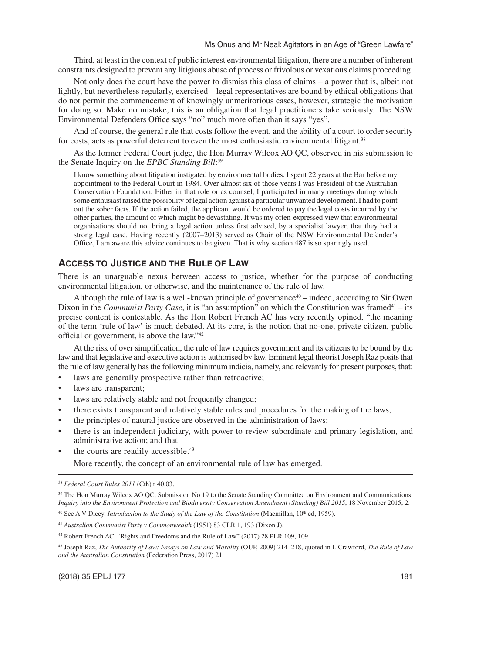Third, at least in the context of public interest environmental litigation, there are a number of inherent constraints designed to prevent any litigious abuse of process or frivolous or vexatious claims proceeding.

Not only does the court have the power to dismiss this class of claims – a power that is, albeit not lightly, but nevertheless regularly, exercised – legal representatives are bound by ethical obligations that do not permit the commencement of knowingly unmeritorious cases, however, strategic the motivation for doing so. Make no mistake, this is an obligation that legal practitioners take seriously. The NSW Environmental Defenders Office says "no" much more often than it says "yes".

And of course, the general rule that costs follow the event, and the ability of a court to order security for costs, acts as powerful deterrent to even the most enthusiastic environmental litigant.<sup>38</sup>

As the former Federal Court judge, the Hon Murray Wilcox AO QC, observed in his submission to the Senate Inquiry on the *EPBC Standing Bill*: 39

I know something about litigation instigated by environmental bodies. I spent 22 years at the Bar before my appointment to the Federal Court in 1984. Over almost six of those years I was President of the Australian Conservation Foundation. Either in that role or as counsel, I participated in many meetings during which some enthusiast raised the possibility of legal action against a particular unwanted development. I had to point out the sober facts. If the action failed, the applicant would be ordered to pay the legal costs incurred by the other parties, the amount of which might be devastating. It was my often-expressed view that environmental organisations should not bring a legal action unless first advised, by a specialist lawyer, that they had a strong legal case. Having recently (2007–2013) served as Chair of the NSW Environmental Defender's Office, I am aware this advice continues to be given. That is why section 487 is so sparingly used.

#### **ACCESS TO JUSTICE AND THE RuLE OF LAW**

There is an unarguable nexus between access to justice, whether for the purpose of conducting environmental litigation, or otherwise, and the maintenance of the rule of law.

Although the rule of law is a well-known principle of governance<sup>40</sup> – indeed, according to Sir Owen Dixon in the *Communist Party Case*, it is "an assumption" on which the Constitution was framed<sup>41</sup> – its precise content is contestable. As the Hon Robert French AC has very recently opined, "the meaning of the term 'rule of law' is much debated. At its core, is the notion that no-one, private citizen, public official or government, is above the law."42

At the risk of over simplification, the rule of law requires government and its citizens to be bound by the law and that legislative and executive action is authorised by law. Eminent legal theorist Joseph Raz posits that the rule of law generally has the following minimum indicia, namely, and relevantly for present purposes, that:

- laws are generally prospective rather than retroactive;
- laws are transparent;
- laws are relatively stable and not frequently changed;
- there exists transparent and relatively stable rules and procedures for the making of the laws;
- the principles of natural justice are observed in the administration of laws;
- there is an independent judiciary, with power to review subordinate and primary legislation, and administrative action; and that
- the courts are readily accessible.<sup>43</sup>

More recently, the concept of an environmental rule of law has emerged.

<sup>38</sup> *Federal Court Rules 2011* (Cth) r 40.03.

<sup>&</sup>lt;sup>39</sup> The Hon Murray Wilcox AO QC, Submission No 19 to the Senate Standing Committee on Environment and Communications, *Inquiry into the Environment Protection and Biodiversity Conservation Amendment (Standing) Bill 2015*, 18 November 2015, 2.

<sup>&</sup>lt;sup>40</sup> See A V Dicey, *Introduction to the Study of the Law of the Constitution* (Macmillan, 10<sup>th</sup> ed, 1959).

<sup>41</sup> *Australian Communist Party v Commonwealth* (1951) 83 CLR 1, 193 (Dixon J).

<sup>42</sup> Robert French AC, "Rights and Freedoms and the Rule of Law" (2017) 28 PLR 109, 109.

<sup>43</sup> Joseph Raz, *The Authority of Law: Essays on Law and Morality* (OUP, 2009) 214–218, quoted in L Crawford, *The Rule of Law and the Australian Constitution* (Federation Press, 2017) 21.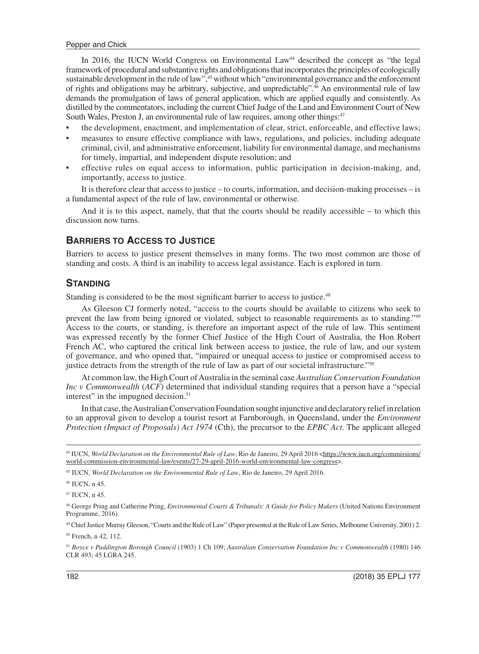In 2016, the IUCN World Congress on Environmental Law<sup>44</sup> described the concept as "the legal framework of procedural and substantive rights and obligations that incorporates the principles of ecologically sustainable development in the rule of law",<sup>45</sup> without which "environmental governance and the enforcement of rights and obligations may be arbitrary, subjective, and unpredictable".46 An environmental rule of law demands the promulgation of laws of general application, which are applied equally and consistently. As distilled by the commentators, including the current Chief Judge of the Land and Environment Court of New South Wales, Preston J, an environmental rule of law requires, among other things:47

- the development, enactment, and implementation of clear, strict, enforceable, and effective laws;
- measures to ensure effective compliance with laws, regulations, and policies, including adequate criminal, civil, and administrative enforcement, liability for environmental damage, and mechanisms for timely, impartial, and independent dispute resolution; and
- effective rules on equal access to information, public participation in decision-making, and, importantly, access to justice.

It is therefore clear that access to justice – to courts, information, and decision-making processes – is a fundamental aspect of the rule of law, environmental or otherwise.

And it is to this aspect, namely, that that the courts should be readily accessible – to which this discussion now turns.

## **BARRIERS TO ACCESS TO JUSTICE**

Barriers to access to justice present themselves in many forms. The two most common are those of standing and costs. A third is an inability to access legal assistance. Each is explored in turn.

#### **STANDING**

Standing is considered to be the most significant barrier to access to justice.<sup>48</sup>

As Gleeson CJ formerly noted, "access to the courts should be available to citizens who seek to prevent the law from being ignored or violated, subject to reasonable requirements as to standing."49 Access to the courts, or standing, is therefore an important aspect of the rule of law. This sentiment was expressed recently by the former Chief Justice of the High Court of Australia, the Hon Robert French AC, who captured the critical link between access to justice, the rule of law, and our system of governance, and who opined that, "impaired or unequal access to justice or compromised access to justice detracts from the strength of the rule of law as part of our societal infrastructure."50

At common law, the High Court of Australia in the seminal case *Australian Conservation Foundation Inc v Commonwealth* (*ACF*) determined that individual standing requires that a person have a "special interest" in the impugned decision.<sup>51</sup>

In that case, the Australian Conservation Foundation sought injunctive and declaratory relief in relation to an approval given to develop a tourist resort at Farnborough, in Queensland, under the *Environment Protection (Impact of Proposals) Act 1974* (Cth), the precursor to the *EPBC Act*. The applicant alleged

45 IUCN, *World Declaration on the Environmental Rule of Law*, Rio de Janeiro, 29 April 2016.

46 IUCN, n 45.

47 IUCN, n 45.

48 George Pring and Catherine Pring, *Environmental Courts & Tribunals: A Guide for Policy Makers* (United Nations Environment Programme, 2016).

49 Chief Justice Murray Gleeson, "Courts and the Rule of Law" (Paper presented at the Rule of Law Series, Melbourne University, 2001) 2.

<sup>&</sup>lt;sup>44</sup> IUCN, *World Declaration on the Environmental Rule of Law*, Rio de Janeiro, 29 April 2016 <[https://www.iucn.org/commissions/](https://www.iucn.org/commissions/world-commission-environmental-law/events/27-29-april-2016-world-environmental-law-congress) [world-commission-environmental-law/events/27-29-april-2016-world-environmental-law-congress](https://www.iucn.org/commissions/world-commission-environmental-law/events/27-29-april-2016-world-environmental-law-congress)>.

<sup>50</sup> French, n 42, 112.

<sup>51</sup> *Boyce v Paddington Borough Council* (1903) 1 Ch 109; *Australian Conservation Foundation Inc v Commonwealth* (1980) 146 CLR 493; 45 LGRA 245.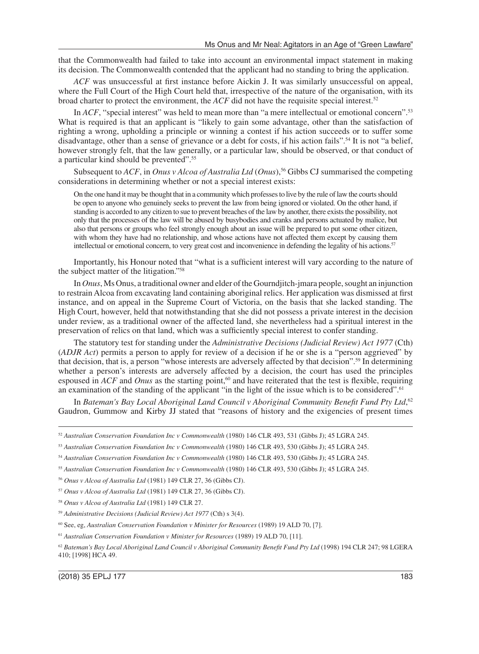that the Commonwealth had failed to take into account an environmental impact statement in making its decision. The Commonwealth contended that the applicant had no standing to bring the application.

*ACF* was unsuccessful at first instance before Aickin J. It was similarly unsuccessful on appeal, where the Full Court of the High Court held that, irrespective of the nature of the organisation, with its broad charter to protect the environment, the *ACF* did not have the requisite special interest.<sup>52</sup>

In *ACF*, "special interest" was held to mean more than "a mere intellectual or emotional concern".<sup>53</sup> What is required is that an applicant is "likely to gain some advantage, other than the satisfaction of righting a wrong, upholding a principle or winning a contest if his action succeeds or to suffer some disadvantage, other than a sense of grievance or a debt for costs, if his action fails".54 It is not "a belief, however strongly felt, that the law generally, or a particular law, should be observed, or that conduct of a particular kind should be prevented".55

Subsequent to *ACF*, in *Onus v Alcoa of Australia Ltd* (*Onus*),56 Gibbs CJ summarised the competing considerations in determining whether or not a special interest exists:

On the one hand it may be thought that in a community which professes to live by the rule of law the courts should be open to anyone who genuinely seeks to prevent the law from being ignored or violated. On the other hand, if standing is accorded to any citizen to sue to prevent breaches of the law by another, there exists the possibility, not only that the processes of the law will be abused by busybodies and cranks and persons actuated by malice, but also that persons or groups who feel strongly enough about an issue will be prepared to put some other citizen, with whom they have had no relationship, and whose actions have not affected them except by causing them intellectual or emotional concern, to very great cost and inconvenience in defending the legality of his actions.<sup>57</sup>

Importantly, his Honour noted that "what is a sufficient interest will vary according to the nature of the subject matter of the litigation."58

In *Onus*, Ms Onus, a traditional owner and elder of the Gourndjitch-jmara people, sought an injunction to restrain Alcoa from excavating land containing aboriginal relics. Her application was dismissed at first instance, and on appeal in the Supreme Court of Victoria, on the basis that she lacked standing. The High Court, however, held that notwithstanding that she did not possess a private interest in the decision under review, as a traditional owner of the affected land, she nevertheless had a spiritual interest in the preservation of relics on that land, which was a sufficiently special interest to confer standing.

The statutory test for standing under the *Administrative Decisions (Judicial Review) Act 1977* (Cth) (*ADJR Act*) permits a person to apply for review of a decision if he or she is a "person aggrieved" by that decision, that is, a person "whose interests are adversely affected by that decision".59 In determining whether a person's interests are adversely affected by a decision, the court has used the principles espoused in *ACF* and *Onus* as the starting point,<sup>60</sup> and have reiterated that the test is flexible, requiring an examination of the standing of the applicant "in the light of the issue which is to be considered".<sup>61</sup>

In *Bateman's Bay Local Aboriginal Land Council v Aboriginal Community Benefit Fund Pty Ltd*,<sup>62</sup> Gaudron, Gummow and Kirby JJ stated that "reasons of history and the exigencies of present times

<sup>52</sup> *Australian Conservation Foundation Inc v Commonwealth* (1980) 146 CLR 493, 531 (Gibbs J); 45 LGRA 245.

<sup>53</sup> *Australian Conservation Foundation Inc v Commonwealth* (1980) 146 CLR 493, 530 (Gibbs J); 45 LGRA 245.

<sup>54</sup> *Australian Conservation Foundation Inc v Commonwealth* (1980) 146 CLR 493, 530 (Gibbs J); 45 LGRA 245.

<sup>55</sup> *Australian Conservation Foundation Inc v Commonwealth* (1980) 146 CLR 493, 530 (Gibbs J); 45 LGRA 245.

<sup>56</sup> *Onus v Alcoa of Australia Ltd* (1981) 149 CLR 27, 36 (Gibbs CJ).

<sup>57</sup> *Onus v Alcoa of Australia Ltd* (1981) 149 CLR 27, 36 (Gibbs CJ).

<sup>58</sup> *Onus v Alcoa of Australia Ltd* (1981) 149 CLR 27.

<sup>59</sup> *Administrative Decisions (Judicial Review) Act 1977* (Cth) s 3(4).

<sup>60</sup> See, eg, *Australian Conservation Foundation v Minister for Resources* (1989) 19 ALD 70, [7].

<sup>61</sup> *Australian Conservation Foundation v Minister for Resources* (1989) 19 ALD 70, [11].

<sup>62</sup> *Bateman's Bay Local Aboriginal Land Council v Aboriginal Community Benefit Fund Pty Ltd* (1998) 194 CLR 247; 98 LGERA 410; [1998] HCA 49.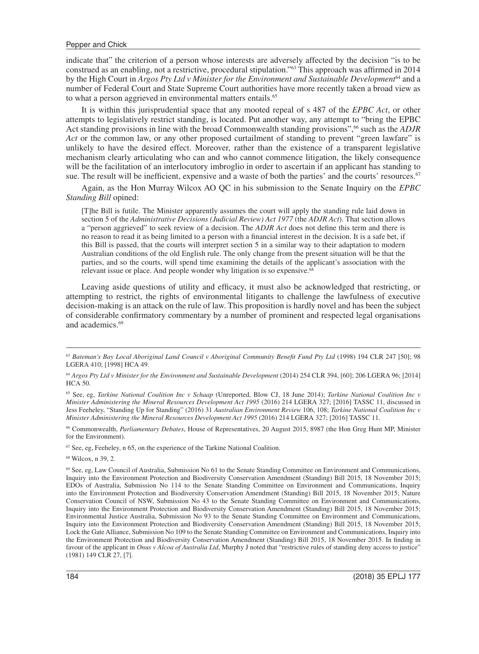indicate that" the criterion of a person whose interests are adversely affected by the decision "is to be construed as an enabling, not a restrictive, procedural stipulation."63 This approach was affirmed in 2014 by the High Court in *Argos Pty Ltd v Minister for the Environment and Sustainable Development*64 and a number of Federal Court and State Supreme Court authorities have more recently taken a broad view as to what a person aggrieved in environmental matters entails.<sup>65</sup>

It is within this jurisprudential space that any mooted repeal of s 487 of the *EPBC Act*, or other attempts to legislatively restrict standing, is located. Put another way, any attempt to "bring the EPBC Act standing provisions in line with the broad Commonwealth standing provisions",<sup>66</sup> such as the *ADJR Act* or the common law, or any other proposed curtailment of standing to prevent "green lawfare" is unlikely to have the desired effect. Moreover, rather than the existence of a transparent legislative mechanism clearly articulating who can and who cannot commence litigation, the likely consequence will be the facilitation of an interlocutory imbroglio in order to ascertain if an applicant has standing to sue. The result will be inefficient, expensive and a waste of both the parties' and the courts' resources.<sup>67</sup>

Again, as the Hon Murray Wilcox AO QC in his submission to the Senate Inquiry on the *EPBC Standing Bill* opined:

[T]he Bill is futile. The Minister apparently assumes the court will apply the standing rule laid down in section 5 of the *Administrative Decisions (Judicial Review) Act 1977* (the *ADJR Act*). That section allows a "person aggrieved" to seek review of a decision. The *ADJR Act* does not define this term and there is no reason to read it as being limited to a person with a financial interest in the decision. It is a safe bet, if this Bill is passed, that the courts will interpret section 5 in a similar way to their adaptation to modern Australian conditions of the old English rule. The only change from the present situation will be that the parties, and so the courts, will spend time examining the details of the applicant's association with the relevant issue or place. And people wonder why litigation is so expensive.<sup>68</sup>

Leaving aside questions of utility and efficacy, it must also be acknowledged that restricting, or attempting to restrict, the rights of environmental litigants to challenge the lawfulness of executive decision-making is an attack on the rule of law. This proposition is hardly novel and has been the subject of considerable confirmatory commentary by a number of prominent and respected legal organisations and academics.<sup>69</sup>

66 Commonwealth, *Parliamentary Debates*, House of Representatives, 20 August 2015, 8987 (the Hon Greg Hunt MP, Minister for the Environment).

67 See, eg, Feeheley, n 65, on the experience of the Tarkine National Coalition.

68 Wilcox, n 39, 2.

<sup>63</sup> *Bateman's Bay Local Aboriginal Land Council v Aboriginal Community Benefit Fund Pty Ltd* (1998) 194 CLR 247 [50]; 98 LGERA 410; [1998] HCA 49.

<sup>&</sup>lt;sup>64</sup> Argos Pty Ltd v Minister for the Environment and Sustainable Development (2014) 254 CLR 394, [60]; 206 LGERA 96; [2014] HCA 50.

<sup>65</sup> See, eg, *Tarkine National Coalition Inc v Schaap* (Unreported, Blow CJ, 18 June 2014); *Tarkine National Coalition Inc v Minister Administering the Mineral Resources Development Act 1995* (2016) 214 LGERA 327; [2016] TASSC 11, discussed in Jess Feeheley, "Standing Up for Standing" (2016) 31 *Australian Environment Review* 106, 108; *Tarkine National Coalition Inc v Minister Administering the Mineral Resources Development Act 1995* (2016) 214 LGERA 327; [2016] TASSC 11.

<sup>69</sup> See, eg, Law Council of Australia, Submission No 61 to the Senate Standing Committee on Environment and Communications, Inquiry into the Environment Protection and Biodiversity Conservation Amendment (Standing) Bill 2015, 18 November 2015; EDOs of Australia, Submission No 114 to the Senate Standing Committee on Environment and Communications, Inquiry into the Environment Protection and Biodiversity Conservation Amendment (Standing) Bill 2015, 18 November 2015; Nature Conservation Council of NSW, Submission No 43 to the Senate Standing Committee on Environment and Communications, Inquiry into the Environment Protection and Biodiversity Conservation Amendment (Standing) Bill 2015, 18 November 2015; Environmental Justice Australia, Submission No 93 to the Senate Standing Committee on Environment and Communications, Inquiry into the Environment Protection and Biodiversity Conservation Amendment (Standing) Bill 2015, 18 November 2015; Lock the Gate Alliance, Submission No 109 to the Senate Standing Committee on Environment and Communications, Inquiry into the Environment Protection and Biodiversity Conservation Amendment (Standing) Bill 2015, 18 November 2015. In finding in favour of the applicant in *Onus v Alcoa of Australia Ltd*, Murphy J noted that "restrictive rules of standing deny access to justice" (1981) 149 CLR 27, [7].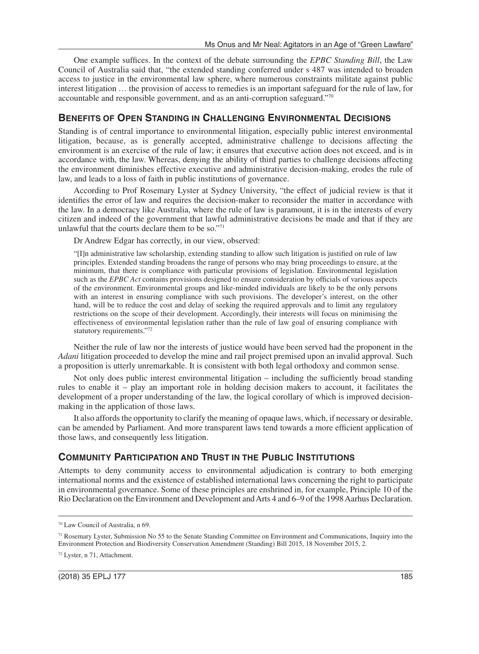One example suffices. In the context of the debate surrounding the *EPBC Standing Bill*, the Law Council of Australia said that, "the extended standing conferred under s 487 was intended to broaden access to justice in the environmental law sphere, where numerous constraints militate against public interest litigation … the provision of access to remedies is an important safeguard for the rule of law, for accountable and responsible government, and as an anti-corruption safeguard."70

# **BENEFITS OF OPEN STANDING IN CHALLENGING ENVIRONMENTAL DECISIONS**

Standing is of central importance to environmental litigation, especially public interest environmental litigation, because, as is generally accepted, administrative challenge to decisions affecting the environment is an exercise of the rule of law; it ensures that executive action does not exceed, and is in accordance with, the law. Whereas, denying the ability of third parties to challenge decisions affecting the environment diminishes effective executive and administrative decision-making, erodes the rule of law, and leads to a loss of faith in public institutions of governance.

According to Prof Rosemary Lyster at Sydney University, "the effect of judicial review is that it identifies the error of law and requires the decision-maker to reconsider the matter in accordance with the law. In a democracy like Australia, where the rule of law is paramount, it is in the interests of every citizen and indeed of the government that lawful administrative decisions be made and that if they are unlawful that the courts declare them to be so."71

Dr Andrew Edgar has correctly, in our view, observed:

"[I]n administrative law scholarship, extending standing to allow such litigation is justified on rule of law principles. Extended standing broadens the range of persons who may bring proceedings to ensure, at the minimum, that there is compliance with particular provisions of legislation. Environmental legislation such as the *EPBC Act* contains provisions designed to ensure consideration by officials of various aspects of the environment. Environmental groups and like-minded individuals are likely to be the only persons with an interest in ensuring compliance with such provisions. The developer's interest, on the other hand, will be to reduce the cost and delay of seeking the required approvals and to limit any regulatory restrictions on the scope of their development. Accordingly, their interests will focus on minimising the effectiveness of environmental legislation rather than the rule of law goal of ensuring compliance with statutory requirements."72

Neither the rule of law nor the interests of justice would have been served had the proponent in the *Adani* litigation proceeded to develop the mine and rail project premised upon an invalid approval. Such a proposition is utterly unremarkable. It is consistent with both legal orthodoxy and common sense.

Not only does public interest environmental litigation – including the sufficiently broad standing rules to enable it – play an important role in holding decision makers to account, it facilitates the development of a proper understanding of the law, the logical corollary of which is improved decisionmaking in the application of those laws.

It also affords the opportunity to clarify the meaning of opaque laws, which, if necessary or desirable, can be amended by Parliament. And more transparent laws tend towards a more efficient application of those laws, and consequently less litigation.

# **COMMUNITY PARTICIPATION AND TRUST IN THE PUBLIC INSTITUTIONS**

Attempts to deny community access to environmental adjudication is contrary to both emerging international norms and the existence of established international laws concerning the right to participate in environmental governance. Some of these principles are enshrined in, for example, Principle 10 of the Rio Declaration on the Environment and Development and Arts 4 and 6–9 of the 1998 Aarhus Declaration.

<sup>70</sup> Law Council of Australia, n 69.

<sup>71</sup> Rosemary Lyster, Submission No 55 to the Senate Standing Committee on Environment and Communications, Inquiry into the Environment Protection and Biodiversity Conservation Amendment (Standing) Bill 2015, 18 November 2015, 2.

<sup>72</sup> Lyster, n 71, Attachment.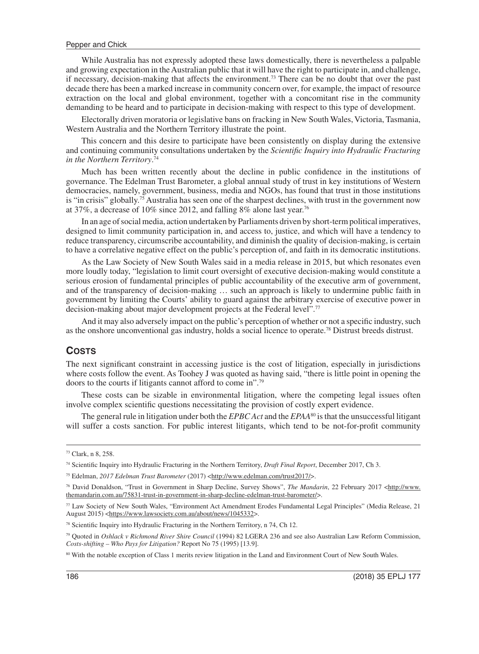While Australia has not expressly adopted these laws domestically, there is nevertheless a palpable and growing expectation in the Australian public that it will have the right to participate in, and challenge, if necessary, decision-making that affects the environment.73 There can be no doubt that over the past decade there has been a marked increase in community concern over, for example, the impact of resource extraction on the local and global environment, together with a concomitant rise in the community demanding to be heard and to participate in decision-making with respect to this type of development.

Electorally driven moratoria or legislative bans on fracking in New South Wales, Victoria, Tasmania, Western Australia and the Northern Territory illustrate the point.

This concern and this desire to participate have been consistently on display during the extensive and continuing community consultations undertaken by the *Scientific Inquiry into Hydraulic Fracturing in the Northern Territory*. 74

Much has been written recently about the decline in public confidence in the institutions of governance. The Edelman Trust Barometer, a global annual study of trust in key institutions of Western democracies, namely, government, business, media and NGOs, has found that trust in those institutions is "in crisis" globally.75 Australia has seen one of the sharpest declines, with trust in the government now at 37%, a decrease of 10% since 2012, and falling 8% alone last year.<sup>76</sup>

In an age of social media, action undertaken by Parliaments driven by short-term political imperatives, designed to limit community participation in, and access to, justice, and which will have a tendency to reduce transparency, circumscribe accountability, and diminish the quality of decision-making, is certain to have a correlative negative effect on the public's perception of, and faith in its democratic institutions.

As the Law Society of New South Wales said in a media release in 2015, but which resonates even more loudly today, "legislation to limit court oversight of executive decision-making would constitute a serious erosion of fundamental principles of public accountability of the executive arm of government, and of the transparency of decision-making … such an approach is likely to undermine public faith in government by limiting the Courts' ability to guard against the arbitrary exercise of executive power in decision-making about major development projects at the Federal level".77

And it may also adversely impact on the public's perception of whether or not a specific industry, such as the onshore unconventional gas industry, holds a social licence to operate.<sup>78</sup> Distrust breeds distrust.

## **COSTS**

The next significant constraint in accessing justice is the cost of litigation, especially in jurisdictions where costs follow the event. As Toohey J was quoted as having said, "there is little point in opening the doors to the courts if litigants cannot afford to come in".79

These costs can be sizable in environmental litigation, where the competing legal issues often involve complex scientific questions necessitating the provision of costly expert evidence.

The general rule in litigation under both the *EPBC Act* and the *EPAA*80 is that the unsuccessful litigant will suffer a costs sanction. For public interest litigants, which tend to be not-for-profit community

<sup>73</sup> Clark, n 8, 258.

<sup>74</sup> Scientific Inquiry into Hydraulic Fracturing in the Northern Territory, *Draft Final Report*, December 2017, Ch 3.

<sup>&</sup>lt;sup>75</sup> Edelman, *2017 Edelman Trust Barometer* (2017) <<http://www.edelman.com/trust2017/>>.

<sup>&</sup>lt;sup>76</sup> David Donaldson, "Trust in Government in Sharp Decline, Survey Shows", *The Mandarin*, 22 February 2017 [<http://www.](http://www.themandarin.com.au/75831-trust-in-government-in-sharp-decline-edelman-trust-barometer/) [themandarin.com.au/75831-trust-in-government-in-sharp-decline-edelman-trust-barometer/>](http://www.themandarin.com.au/75831-trust-in-government-in-sharp-decline-edelman-trust-barometer/).

<sup>77</sup> Law Society of New South Wales, "Environment Act Amendment Erodes Fundamental Legal Principles" (Media Release, 21 August 2015) [<https://www.lawsociety.com.au/about/news/1045332>](https://www.lawsociety.com.au/about/news/1045332).

<sup>&</sup>lt;sup>78</sup> Scientific Inquiry into Hydraulic Fracturing in the Northern Territory, n 74, Ch 12.

<sup>79</sup> Quoted in *Oshlack v Richmond River Shire Council* (1994) 82 LGERA 236 and see also Australian Law Reform Commission, *Costs-shifting – Who Pays for Litigation?* Report No 75 (1995) [13.9].

<sup>80</sup> With the notable exception of Class 1 merits review litigation in the Land and Environment Court of New South Wales.